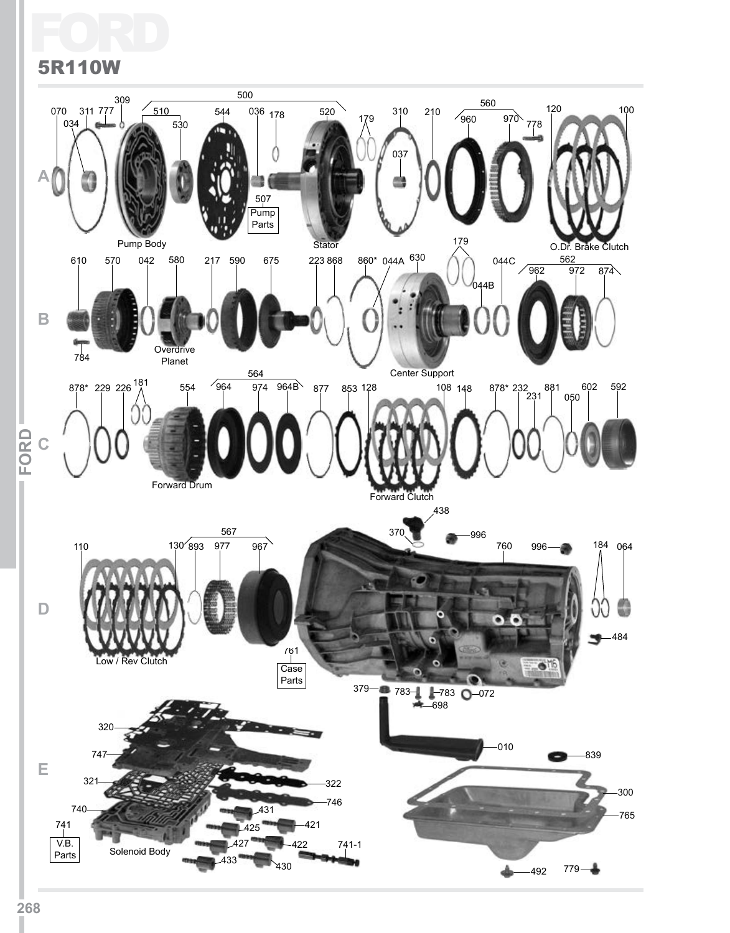## Ford 5R110W

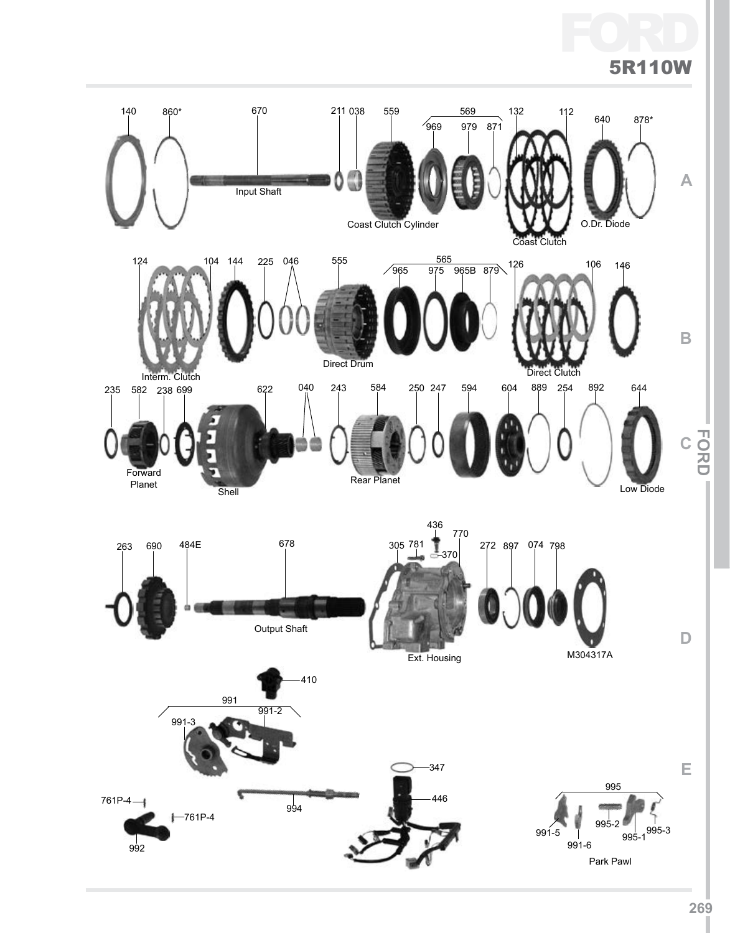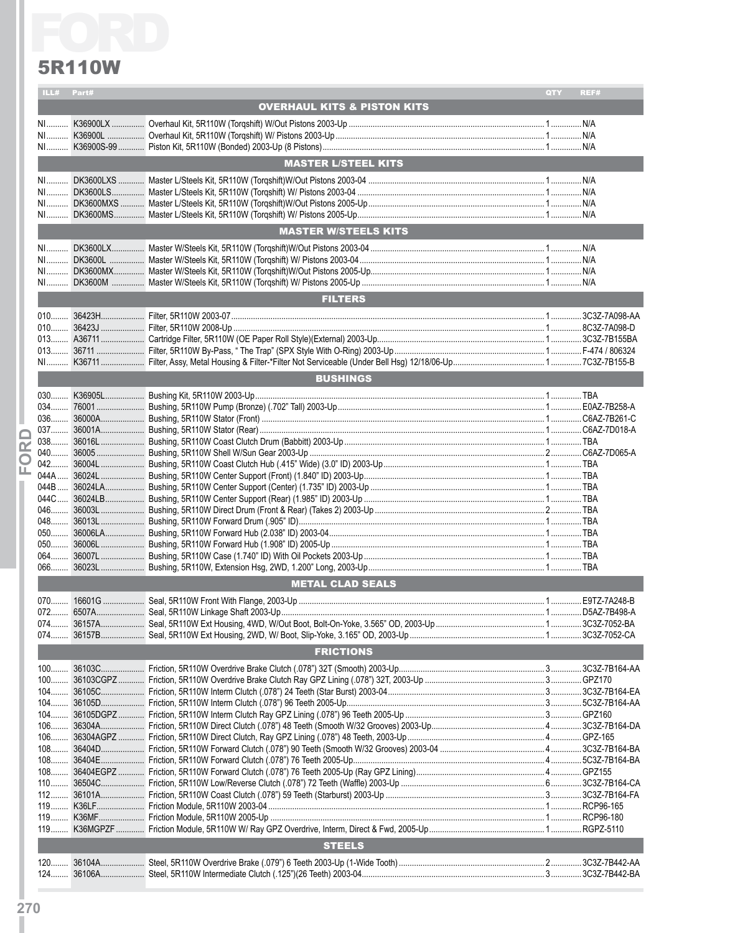

|       | <b>5R110W</b> |                                        |     |      |
|-------|---------------|----------------------------------------|-----|------|
|       | ILL# Part#    |                                        | QTY | REF# |
|       |               | <b>OVERHAUL KITS &amp; PISTON KITS</b> |     |      |
|       |               |                                        |     |      |
|       |               |                                        |     |      |
|       |               | <b>MASTER L/STEEL KITS</b>             |     |      |
|       |               |                                        |     |      |
|       |               |                                        |     |      |
|       |               |                                        |     |      |
|       |               | <b>MASTER W/STEELS KITS</b>            |     |      |
|       |               |                                        |     |      |
|       |               |                                        |     |      |
|       |               |                                        |     |      |
|       |               |                                        |     |      |
|       |               | <b>FILTERS</b>                         |     |      |
|       |               |                                        |     |      |
|       |               |                                        |     |      |
|       |               |                                        |     |      |
|       |               |                                        |     |      |
|       |               | <b>BUSHINGS</b>                        |     |      |
|       |               |                                        |     |      |
|       |               |                                        |     |      |
|       |               |                                        |     |      |
|       |               |                                        |     |      |
|       |               |                                        |     |      |
|       |               |                                        |     |      |
|       |               |                                        |     |      |
|       |               |                                        |     |      |
|       |               |                                        |     |      |
| 050   |               |                                        |     |      |
|       |               |                                        |     |      |
|       |               |                                        |     |      |
|       |               | <b>METAL CLAD SEALS</b>                |     |      |
|       |               |                                        |     |      |
|       |               |                                        |     |      |
|       |               |                                        |     |      |
|       |               | <b>FRICTIONS</b>                       |     |      |
|       |               |                                        |     |      |
|       |               |                                        |     |      |
|       |               |                                        |     |      |
|       |               |                                        |     |      |
| $106$ |               |                                        |     |      |
|       |               |                                        |     |      |
|       |               |                                        |     |      |
|       |               |                                        |     |      |
|       |               |                                        |     |      |
|       |               |                                        |     |      |
|       |               |                                        |     |      |
|       |               | <b>STEELS</b>                          |     |      |
|       |               |                                        |     |      |
| $124$ |               |                                        |     |      |
|       |               |                                        |     |      |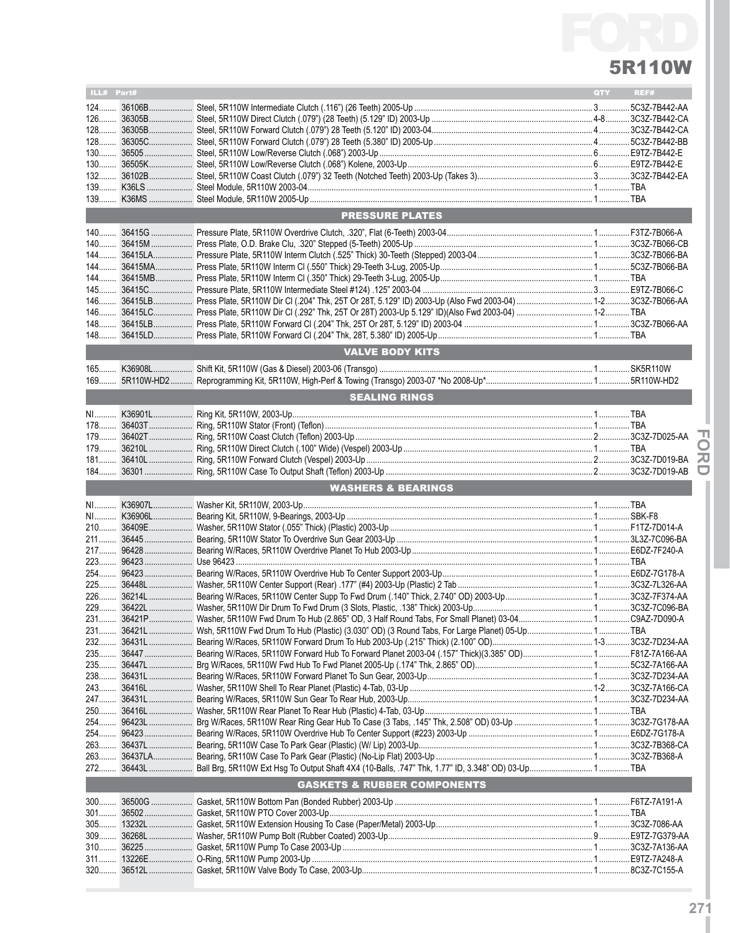

| ILL# Part# |                                        | QTY | REF# |
|------------|----------------------------------------|-----|------|
|            |                                        |     |      |
|            |                                        |     |      |
|            |                                        |     |      |
|            |                                        |     |      |
|            |                                        |     |      |
|            |                                        |     |      |
| $132$      |                                        |     |      |
|            |                                        |     |      |
| $139$      |                                        |     |      |
|            | <b>PRESSURE PLATES</b>                 |     |      |
|            |                                        |     |      |
|            |                                        |     |      |
|            |                                        |     |      |
|            |                                        |     |      |
|            |                                        |     |      |
|            |                                        |     |      |
|            |                                        |     |      |
| $146$      |                                        |     |      |
|            |                                        |     |      |
|            |                                        |     |      |
|            | <b>VALVE BODY KITS</b>                 |     |      |
| $165$      |                                        |     |      |
| $169$      |                                        |     |      |
|            | <b>SEALING RINGS</b>                   |     |      |
|            |                                        |     |      |
|            |                                        |     |      |
|            |                                        |     |      |
| 179        |                                        |     |      |
|            |                                        |     |      |
|            |                                        |     |      |
|            |                                        |     |      |
|            |                                        |     |      |
|            | <b>WASHERS &amp; BEARINGS</b>          |     |      |
|            |                                        |     |      |
|            |                                        |     |      |
|            |                                        |     |      |
|            |                                        |     |      |
|            |                                        |     |      |
|            |                                        |     |      |
|            |                                        |     |      |
|            |                                        |     |      |
|            |                                        |     |      |
|            |                                        |     |      |
|            |                                        |     |      |
|            |                                        |     |      |
|            |                                        |     |      |
|            |                                        |     |      |
|            |                                        |     |      |
|            |                                        |     |      |
|            |                                        |     |      |
|            |                                        |     |      |
|            |                                        |     |      |
|            |                                        |     |      |
|            |                                        |     |      |
|            |                                        |     |      |
|            |                                        |     |      |
|            | <b>GASKETS &amp; RUBBER COMPONENTS</b> |     |      |
|            |                                        |     |      |
|            |                                        |     |      |
|            |                                        |     |      |
|            |                                        |     |      |
| 320        |                                        |     |      |

**IFor**

**dI**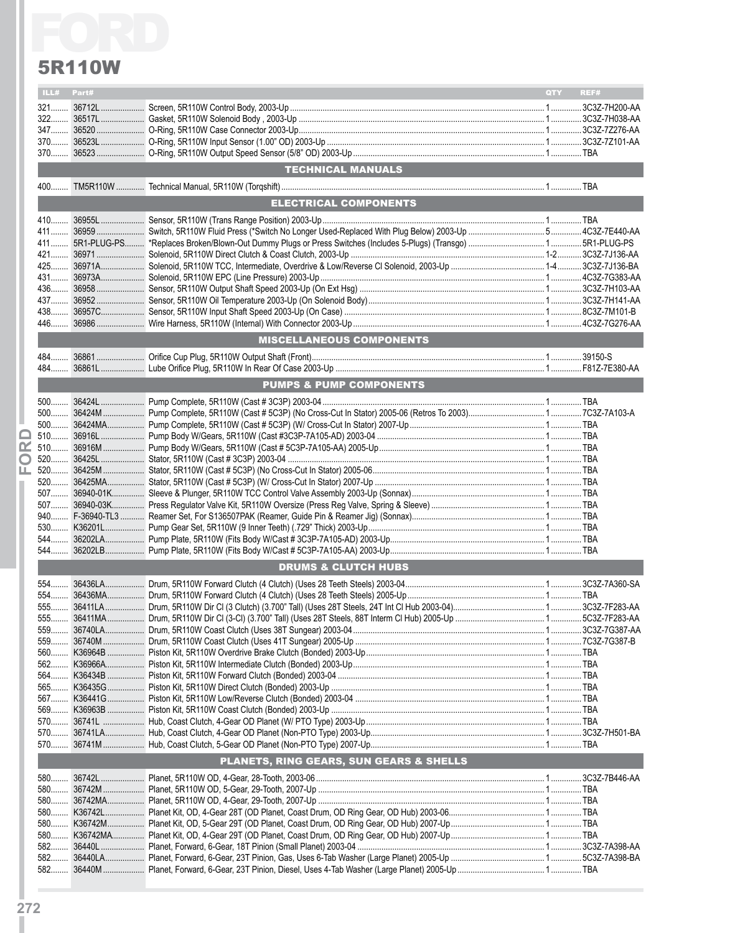|       | <b>5R110W</b> |                                         |     |      |
|-------|---------------|-----------------------------------------|-----|------|
|       | ILL# Part#    |                                         | QTY | REF# |
|       |               |                                         |     |      |
|       |               |                                         |     |      |
|       |               |                                         |     |      |
|       |               |                                         |     |      |
|       |               |                                         |     |      |
|       |               | TECHNICAL MANUALS                       |     |      |
| $400$ |               |                                         |     |      |
|       |               | <b>ELECTRICAL COMPONENTS</b>            |     |      |
|       |               |                                         |     |      |
|       |               |                                         |     |      |
|       |               |                                         |     |      |
|       |               |                                         |     |      |
|       |               |                                         |     |      |
|       |               |                                         |     |      |
|       |               |                                         |     |      |
|       |               |                                         |     |      |
|       |               |                                         |     |      |
|       |               | <b>MISCELLANEOUS COMPONENTS</b>         |     |      |
|       |               |                                         |     |      |
|       |               |                                         |     |      |
|       |               | <b>PUMPS &amp; PUMP COMPONENTS</b>      |     |      |
|       |               |                                         |     |      |
|       |               |                                         |     |      |
|       |               |                                         |     |      |
|       |               |                                         |     |      |
| œ     |               |                                         |     |      |
| O     |               |                                         |     |      |
| ш.    |               |                                         |     |      |
|       |               |                                         |     |      |
|       |               |                                         |     |      |
|       |               |                                         |     |      |
|       |               |                                         |     |      |
|       |               |                                         |     |      |
|       |               |                                         |     |      |
|       |               | <b>DRUMS &amp; CLUTCH HUBS</b>          |     |      |
|       |               |                                         |     |      |
|       |               |                                         |     |      |
|       |               |                                         |     |      |
|       |               |                                         |     |      |
|       |               |                                         |     |      |
|       |               |                                         |     |      |
|       |               |                                         |     |      |
|       |               |                                         |     |      |
|       |               |                                         |     |      |
|       |               |                                         |     |      |
|       |               |                                         |     |      |
|       |               |                                         |     |      |
|       |               |                                         |     |      |
|       |               |                                         |     |      |
|       |               | PLANETS, RING GEARS, SUN GEARS & SHELLS |     |      |
|       |               |                                         |     |      |
|       |               |                                         |     |      |
|       |               |                                         |     |      |
|       |               |                                         |     |      |
|       |               |                                         |     |      |
|       |               |                                         |     |      |
|       |               |                                         |     |      |
|       |               |                                         |     |      |
|       |               |                                         |     |      |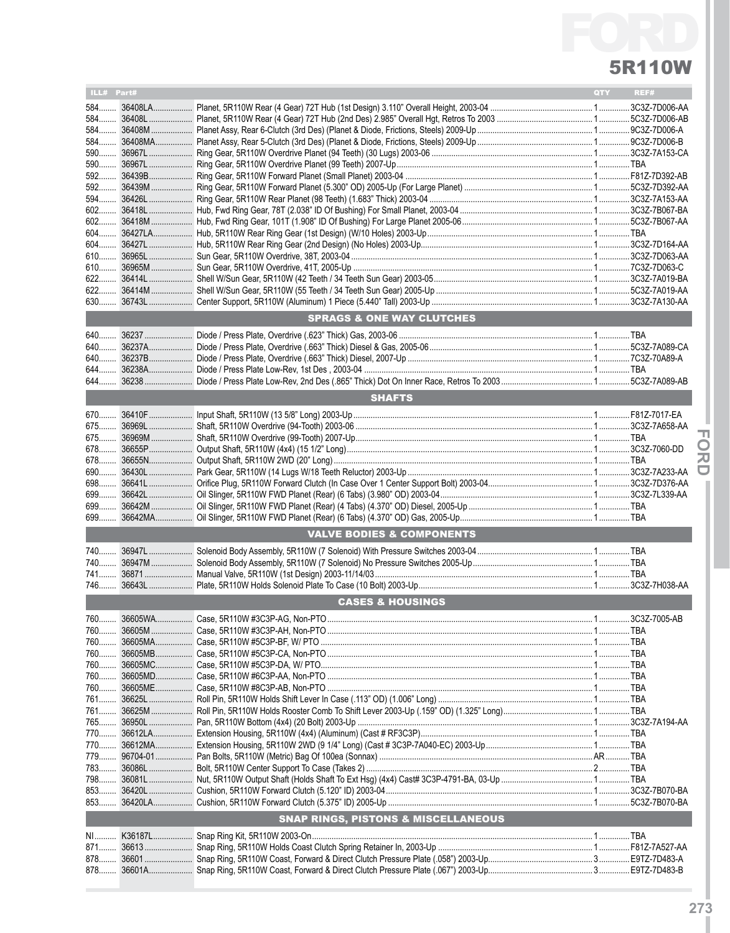

| ILL# Part# |                                                | QTY | REF# |
|------------|------------------------------------------------|-----|------|
|            |                                                |     |      |
|            |                                                |     |      |
|            |                                                |     |      |
| 584        |                                                |     |      |
| 590        |                                                |     |      |
| $590$      |                                                |     |      |
|            |                                                |     |      |
|            |                                                |     |      |
| 594        |                                                |     |      |
|            |                                                |     |      |
| $602$      |                                                |     |      |
| $604$      |                                                |     |      |
| $610$      |                                                |     |      |
| 610        |                                                |     |      |
| $622$      |                                                |     |      |
|            |                                                |     |      |
|            |                                                |     |      |
|            | <b>SPRAGS &amp; ONE WAY CLUTCHES</b>           |     |      |
|            |                                                |     |      |
|            |                                                |     |      |
|            |                                                |     |      |
|            |                                                |     |      |
| 644        |                                                |     |      |
|            |                                                |     |      |
|            | <b>SHAFTS</b>                                  |     |      |
|            |                                                |     |      |
|            |                                                |     |      |
|            |                                                |     |      |
| 678        |                                                |     |      |
| 678        |                                                |     |      |
| 690        |                                                |     |      |
| 699        |                                                |     |      |
| 699        |                                                |     |      |
| 699        |                                                |     |      |
|            | <b>VALVE BODIES &amp; COMPONENTS</b>           |     |      |
|            |                                                |     |      |
|            |                                                |     |      |
|            |                                                |     |      |
| 746        |                                                |     |      |
|            |                                                |     |      |
|            | <b>CASES &amp; HOUSINGS</b>                    |     |      |
|            |                                                |     |      |
|            |                                                |     |      |
| 760        |                                                |     |      |
| 760        |                                                |     |      |
|            |                                                |     |      |
|            |                                                |     |      |
| 761        |                                                |     |      |
| 761        |                                                |     |      |
| 765        |                                                |     |      |
|            |                                                |     |      |
| 770        |                                                |     |      |
| $779$      |                                                |     |      |
| 783        |                                                |     |      |
| 798        |                                                |     |      |
|            |                                                |     |      |
|            |                                                |     |      |
|            | <b>SNAP RINGS, PISTONS &amp; MISCELLANEOUS</b> |     |      |
| NI         |                                                |     |      |
| 871        |                                                |     |      |
|            |                                                |     |      |
|            |                                                |     |      |

**IFor dI**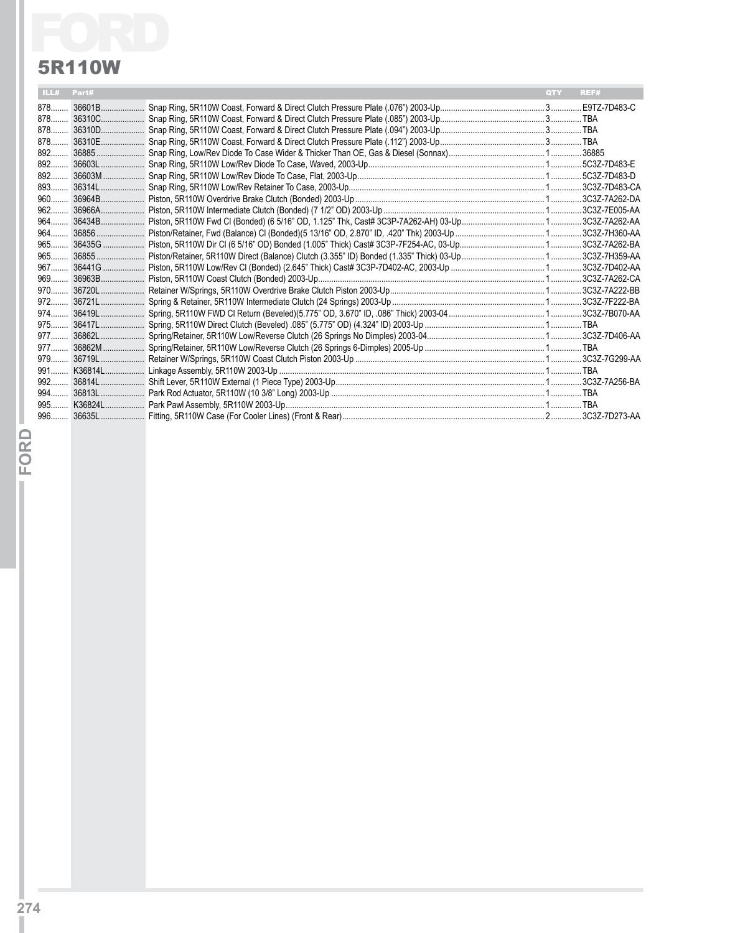|      | 5R110W |            |      |
|------|--------|------------|------|
| ILL# | Part#  | <b>QTY</b> | REF# |
|      |        |            |      |
|      |        |            |      |
|      |        |            |      |
|      |        |            |      |
|      |        |            |      |
|      |        |            |      |
|      |        |            |      |
|      |        |            |      |
|      |        |            |      |
|      |        |            |      |
|      |        |            |      |
|      |        |            |      |
|      |        |            |      |
|      |        |            |      |
|      |        |            |      |
|      |        |            |      |
|      |        |            |      |
|      |        |            |      |
|      |        |            |      |
|      |        |            |      |
|      |        |            |      |
|      |        |            |      |
|      |        |            |      |
|      |        |            |      |
|      |        |            |      |
|      |        |            |      |
|      |        |            |      |
|      |        |            |      |

**IFor**